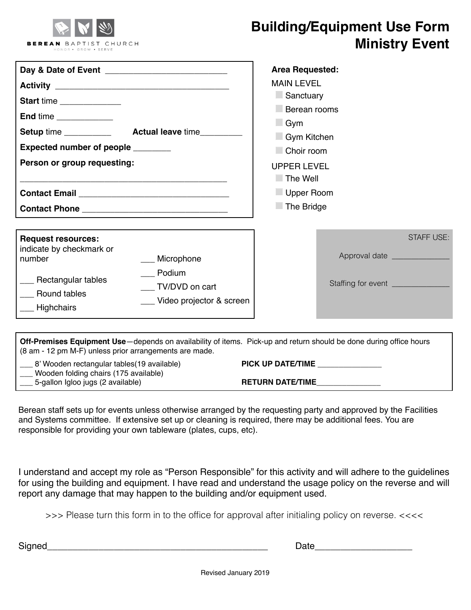

## **Building/Equipment Use Form Ministry Event**

| Start time<br>End time<br>Expected number of people ________<br>Person or group requesting:                                       |                                                                    | <b>Area Requested:</b><br><b>MAIN LEVEL</b><br>Sanctuary<br>Berean rooms<br>$\Box$ Gym<br>Gym Kitchen<br>Choir room<br><b>UPPER LEVEL</b><br>$\Box$ The Well<br>Upper Room<br>The Bridge |                                                        |  |
|-----------------------------------------------------------------------------------------------------------------------------------|--------------------------------------------------------------------|------------------------------------------------------------------------------------------------------------------------------------------------------------------------------------------|--------------------------------------------------------|--|
| <b>Request resources:</b><br>indicate by checkmark or<br>number<br>___ Rectangular tables<br><b>Round tables</b><br>__ Highchairs | Microphone<br>Podium<br>TV/DVD on cart<br>Video projector & screen |                                                                                                                                                                                          | <b>STAFF USE:</b><br>Staffing for event ______________ |  |

| <b>Off-Premises Equipment Use</b> —depends on availability of items. Pick-up and return should be done during office hours<br>(8 am - 12 pm M-F) unless prior arrangements are made. |                         |  |  |
|--------------------------------------------------------------------------------------------------------------------------------------------------------------------------------------|-------------------------|--|--|
| 8' Wooden rectangular tables (19 available)<br>Wooden folding chairs (175 available)                                                                                                 | PICK UP DATE/TIME       |  |  |
| 5-gallon Igloo jugs (2 available)                                                                                                                                                    | <b>RETURN DATE/TIME</b> |  |  |

Berean staff sets up for events unless otherwise arranged by the requesting party and approved by the Facilities and Systems committee. If extensive set up or cleaning is required, there may be additional fees. You are responsible for providing your own tableware (plates, cups, etc).

I understand and accept my role as "Person Responsible" for this activity and will adhere to the guidelines for using the building and equipment. I have read and understand the usage policy on the reverse and will report any damage that may happen to the building and/or equipment used.

>>> Please turn this form in to the office for approval after initialing policy on reverse. <<<<

Signed\_\_\_\_\_\_\_\_\_\_\_\_\_\_\_\_\_\_\_\_\_\_\_\_\_\_\_\_\_\_\_\_\_\_\_\_\_\_\_\_\_\_\_ Date\_\_\_\_\_\_\_\_\_\_\_\_\_\_\_\_\_\_\_